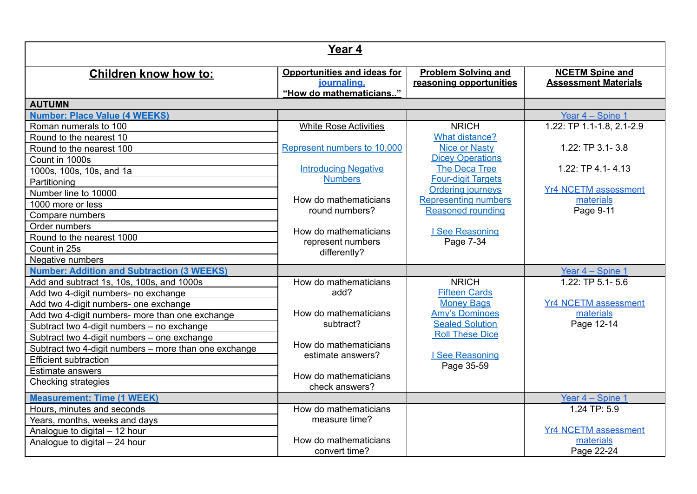| Year 4                                                |                                                                              |                                                       |                                                       |  |
|-------------------------------------------------------|------------------------------------------------------------------------------|-------------------------------------------------------|-------------------------------------------------------|--|
| <b>Children know how to:</b>                          | <b>Opportunities and ideas for</b><br>journaling.<br>"How do mathematicians" | <b>Problem Solving and</b><br>reasoning opportunities | <b>NCETM Spine and</b><br><b>Assessment Materials</b> |  |
| <b>AUTUMN</b>                                         |                                                                              |                                                       |                                                       |  |
| <b>Number: Place Value (4 WEEKS)</b>                  |                                                                              |                                                       | Year 4 - Spine 1                                      |  |
| Roman numerals to 100                                 | <b>White Rose Activities</b>                                                 | <b>NRICH</b>                                          | 1.22: TP 1.1-1.8, 2.1-2.9                             |  |
| Round to the nearest 10                               |                                                                              | <b>What distance?</b>                                 |                                                       |  |
| Round to the nearest 100                              | Represent numbers to 10,000                                                  | <b>Nice or Nasty</b>                                  | 1.22: TP 3.1-3.8                                      |  |
| Count in 1000s                                        |                                                                              | <b>Dicey Operations</b>                               |                                                       |  |
| 1000s, 100s, 10s, and 1a                              | <b>Introducing Negative</b>                                                  | The Deca Tree                                         | $1.22:$ TP 4.1-4.13                                   |  |
| Partitioning                                          | <b>Numbers</b>                                                               | <b>Four-digit Targets</b>                             |                                                       |  |
| Number line to 10000                                  | How do mathematicians                                                        | Ordering journeys<br><b>Representing numbers</b>      | <b>Yr4 NCETM assessment</b><br>materials              |  |
| 1000 more or less                                     | round numbers?                                                               | <b>Reasoned rounding</b>                              | Page 9-11                                             |  |
| Compare numbers                                       |                                                                              |                                                       |                                                       |  |
| Order numbers                                         | How do mathematicians                                                        | I See Reasoning                                       |                                                       |  |
| Round to the nearest 1000                             | represent numbers                                                            | Page 7-34                                             |                                                       |  |
| Count in 25s                                          | differently?                                                                 |                                                       |                                                       |  |
| Negative numbers                                      |                                                                              |                                                       |                                                       |  |
| <b>Number: Addition and Subtraction (3 WEEKS)</b>     |                                                                              |                                                       | Year 4 - Spine 1                                      |  |
| Add and subtract 1s, 10s, 100s, and 1000s             | How do mathematicians                                                        | <b>NRICH</b>                                          | 1.22: TP $5.1 - 5.6$                                  |  |
| Add two 4-digit numbers- no exchange                  | add?                                                                         | <b>Fifteen Cards</b>                                  |                                                       |  |
| Add two 4-digit numbers- one exchange                 |                                                                              | <b>Money Bags</b>                                     | <b>Yr4 NCETM assessment</b>                           |  |
| Add two 4-digit numbers- more than one exchange       | How do mathematicians                                                        | <b>Amy's Dominoes</b>                                 | materials                                             |  |
| Subtract two 4-digit numbers - no exchange            | subtract?                                                                    | <b>Sealed Solution</b>                                | Page 12-14                                            |  |
| Subtract two 4-digit numbers - one exchange           |                                                                              | <b>Roll These Dice</b>                                |                                                       |  |
| Subtract two 4-digit numbers - more than one exchange | How do mathematicians<br>estimate answers?                                   | I See Reasoning                                       |                                                       |  |
| <b>Efficient subtraction</b>                          |                                                                              | Page 35-59                                            |                                                       |  |
| <b>Estimate answers</b>                               | How do mathematicians                                                        |                                                       |                                                       |  |
| <b>Checking strategies</b>                            | check answers?                                                               |                                                       |                                                       |  |
| <b>Measurement: Time (1 WEEK)</b>                     |                                                                              |                                                       | Year 4 - Spine 1                                      |  |
| Hours, minutes and seconds                            | How do mathematicians                                                        |                                                       | 1.24 TP: 5.9                                          |  |
| Years, months, weeks and days                         | measure time?                                                                |                                                       |                                                       |  |
| Analogue to digital - 12 hour                         |                                                                              |                                                       | <b>Yr4 NCETM assessment</b>                           |  |
| Analogue to digital - 24 hour                         | How do mathematicians                                                        |                                                       | materials                                             |  |
|                                                       | convert time?                                                                |                                                       | Page 22-24                                            |  |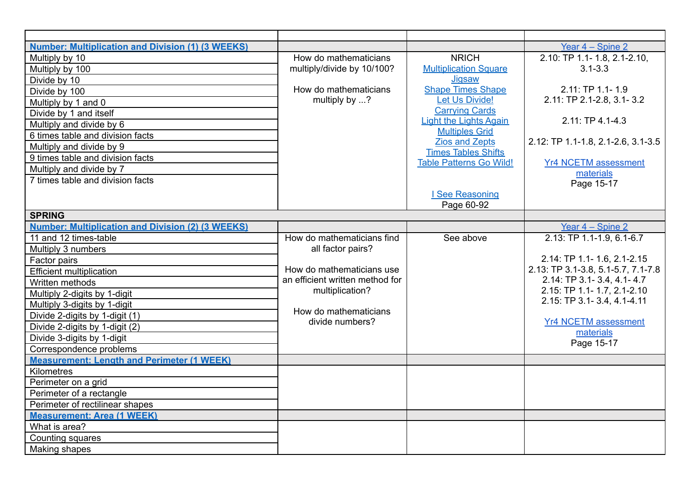| <b>Number: Multiplication and Division (1) (3 WEEKS)</b> |                                          |                                                     | Year $4 -$ Spine 2                 |
|----------------------------------------------------------|------------------------------------------|-----------------------------------------------------|------------------------------------|
| Multiply by 10                                           | How do mathematicians                    | <b>NRICH</b>                                        | 2.10: TP 1.1- 1.8, 2.1-2.10,       |
| Multiply by 100                                          | multiply/divide by 10/100?               | <b>Multiplication Square</b>                        | $3.1 - 3.3$                        |
| Divide by 10                                             |                                          | Jiqsaw                                              |                                    |
| Divide by 100                                            | How do mathematicians                    | <b>Shape Times Shape</b>                            | 2.11: TP 1.1-1.9                   |
| Multiply by 1 and 0                                      | multiply by ?                            | Let Us Divide!                                      | 2.11: TP 2.1-2.8, 3.1-3.2          |
| Divide by 1 and itself                                   |                                          | <b>Carrying Cards</b>                               |                                    |
| Multiply and divide by 6                                 |                                          | <b>Light the Lights Again</b>                       | $2.11:TP 4.1 - 4.3$                |
| 6 times table and division facts                         |                                          | <b>Multiples Grid</b>                               |                                    |
| Multiply and divide by 9                                 |                                          | <b>Zios and Zepts</b><br><b>Times Tables Shifts</b> | 2.12: TP 1.1-1.8, 2.1-2.6, 3.1-3.5 |
| 9 times table and division facts                         |                                          | <b>Table Patterns Go Wild!</b>                      | <b>Yr4 NCETM assessment</b>        |
| Multiply and divide by 7                                 |                                          |                                                     | materials                          |
| 7 times table and division facts                         |                                          |                                                     | Page 15-17                         |
|                                                          |                                          | I See Reasoning                                     |                                    |
|                                                          |                                          | Page 60-92                                          |                                    |
| <b>SPRING</b>                                            |                                          |                                                     |                                    |
| <b>Number: Multiplication and Division (2) (3 WEEKS)</b> |                                          |                                                     | Year 4 - Spine 2                   |
| 11 and 12 times-table                                    | How do mathematicians find               | See above                                           | 2.13: TP 1.1-1.9, 6.1-6.7          |
| Multiply 3 numbers                                       | all factor pairs?                        |                                                     |                                    |
| Factor pairs                                             |                                          |                                                     | 2.14: TP 1.1- 1.6, 2.1-2.15        |
| <b>Efficient multiplication</b>                          | How do mathematicians use                |                                                     | 2.13: TP 3.1-3.8, 5.1-5.7, 7.1-7.8 |
| Written methods                                          | an efficient written method for          |                                                     | 2.14: TP 3.1-3.4, 4.1-4.7          |
| Multiply 2-digits by 1-digit                             | multiplication?                          |                                                     | 2.15: TP 1.1- 1.7, 2.1-2.10        |
| Multiply 3-digits by 1-digit                             |                                          |                                                     | 2.15: TP 3.1-3.4, 4.1-4.11         |
| Divide 2-digits by 1-digit (1)                           | How do mathematicians<br>divide numbers? |                                                     | <b>Yr4 NCETM assessment</b>        |
| Divide 2-digits by 1-digit (2)                           |                                          |                                                     | materials                          |
| Divide 3-digits by 1-digit                               |                                          |                                                     | Page 15-17                         |
| Correspondence problems                                  |                                          |                                                     |                                    |
| <b>Measurement: Length and Perimeter (1 WEEK)</b>        |                                          |                                                     |                                    |
| Kilometres                                               |                                          |                                                     |                                    |
| Perimeter on a grid                                      |                                          |                                                     |                                    |
| Perimeter of a rectangle                                 |                                          |                                                     |                                    |
| Perimeter of rectilinear shapes                          |                                          |                                                     |                                    |
| <b>Measurement: Area (1 WEEK)</b>                        |                                          |                                                     |                                    |
| What is area?                                            |                                          |                                                     |                                    |
| Counting squares                                         |                                          |                                                     |                                    |
| Making shapes                                            |                                          |                                                     |                                    |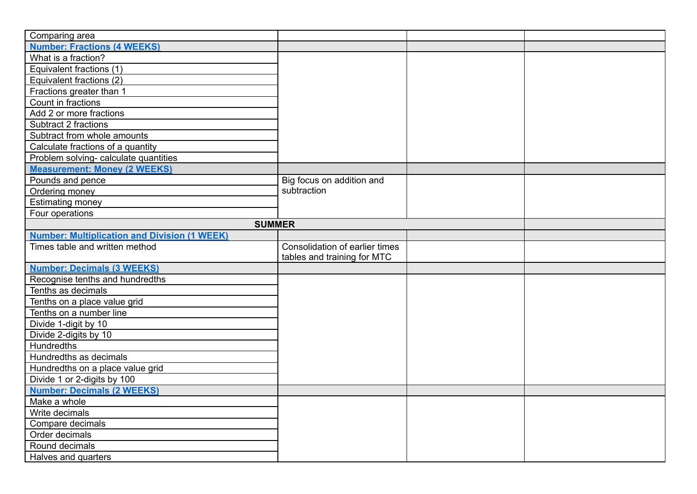| Comparing area                                      |                                |  |  |
|-----------------------------------------------------|--------------------------------|--|--|
| <b>Number: Fractions (4 WEEKS)</b>                  |                                |  |  |
| What is a fraction?                                 |                                |  |  |
| Equivalent fractions (1)                            |                                |  |  |
| Equivalent fractions (2)                            |                                |  |  |
| Fractions greater than 1                            |                                |  |  |
| Count in fractions                                  |                                |  |  |
| Add 2 or more fractions                             |                                |  |  |
| Subtract 2 fractions                                |                                |  |  |
| Subtract from whole amounts                         |                                |  |  |
| Calculate fractions of a quantity                   |                                |  |  |
| Problem solving- calculate quantities               |                                |  |  |
| <b>Measurement: Money (2 WEEKS)</b>                 |                                |  |  |
| Pounds and pence                                    | Big focus on addition and      |  |  |
| Ordering money                                      | subtraction                    |  |  |
| <b>Estimating money</b>                             |                                |  |  |
| Four operations                                     |                                |  |  |
| <b>SUMMER</b>                                       |                                |  |  |
| <b>Number: Multiplication and Division (1 WEEK)</b> |                                |  |  |
| Times table and written method                      | Consolidation of earlier times |  |  |
|                                                     | tables and training for MTC    |  |  |
| <b>Number: Decimals (3 WEEKS)</b>                   |                                |  |  |
| Recognise tenths and hundredths                     |                                |  |  |
| Tenths as decimals                                  |                                |  |  |
| Tenths on a place value grid                        |                                |  |  |
| Tenths on a number line                             |                                |  |  |
| Divide 1-digit by 10                                |                                |  |  |
| Divide 2-digits by 10                               |                                |  |  |
| <b>Hundredths</b>                                   |                                |  |  |
| Hundredths as decimals                              |                                |  |  |
| Hundredths on a place value grid                    |                                |  |  |
| Divide 1 or 2-digits by 100                         |                                |  |  |
| <b>Number: Decimals (2 WEEKS)</b>                   |                                |  |  |
| Make a whole                                        |                                |  |  |
| Write decimals                                      |                                |  |  |
| Compare decimals                                    |                                |  |  |
| Order decimals                                      |                                |  |  |
| Round decimals                                      |                                |  |  |
| Halves and quarters                                 |                                |  |  |